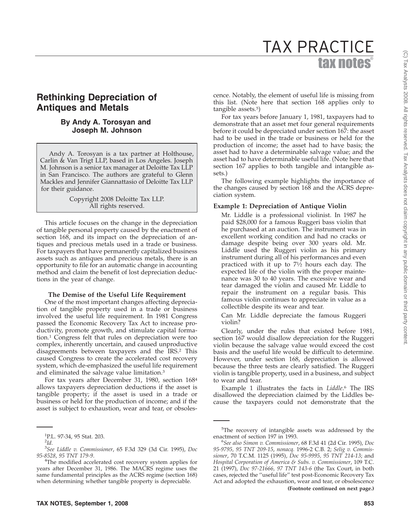# tax notes® TAX PRACTICE

# **Rethinking Depreciation of Antiques and Metals**

## **By Andy A. Torosyan and Joseph M. Johnson**

Andy A. Torosyan is a tax partner at Holthouse, Carlin & Van Trigt LLP, based in Los Angeles. Joseph M. Johnson is a senior tax manager at Deloitte Tax LLP in San Francisco. The authors are grateful to Glenn Mackles and Jennifer Giannattasio of Deloitte Tax LLP for their guidance.

> Copyright 2008 Deloitte Tax LLP. All rights reserved.

This article focuses on the change in the depreciation of tangible personal property caused by the enactment of section 168, and its impact on the depreciation of antiques and precious metals used in a trade or business. For taxpayers that have permanently capitalized business assets such as antiques and precious metals, there is an opportunity to file for an automatic change in accounting method and claim the benefit of lost depreciation deductions in the year of change.

#### **The Demise of the Useful Life Requirement**

One of the most important changes affecting depreciation of tangible property used in a trade or business involved the useful life requirement. In 1981 Congress passed the Economic Recovery Tax Act to increase productivity, promote growth, and stimulate capital formation.1 Congress felt that rules on depreciation were too complex, inherently uncertain, and caused unproductive disagreements between taxpayers and the IRS.2 This caused Congress to create the accelerated cost recovery system, which de-emphasized the useful life requirement and eliminated the salvage value limitation.3

For tax years after December 31, 1980, section 1684 allows taxpayers depreciation deductions if the asset is tangible property; if the asset is used in a trade or business or held for the production of income; and if the asset is subject to exhaustion, wear and tear, or obsolescence. Notably, the element of useful life is missing from this list. (Note here that section 168 applies only to tangible assets.5)

For tax years before January 1, 1981, taxpayers had to demonstrate that an asset met four general requirements before it could be depreciated under section 167: the asset had to be used in the trade or business or held for the production of income; the asset had to have basis; the asset had to have a determinable salvage value; and the asset had to have determinable useful life. (Note here that section 167 applies to both tangible and intangible assets.)

The following example highlights the importance of the changes caused by section 168 and the ACRS depreciation system.

#### **Example 1: Depreciation of Antique Violin**

Mr. Liddle is a professional violinist. In 1987 he paid \$28,000 for a famous Ruggeri bass violin that he purchased at an auction. The instrument was in excellent working condition and had no cracks or damage despite being over 300 years old. Mr. Liddle used the Ruggeri violin as his primary instrument during all of his performances and even practiced with it up to  $7\frac{1}{2}$  hours each day. The expected life of the violin with the proper maintenance was 30 to 40 years. The excessive wear and tear damaged the violin and caused Mr. Liddle to repair the instrument on a regular basis. This famous violin continues to appreciate in value as a collectible despite its wear and tear.

Can Mr. Liddle depreciate the famous Ruggeri violin?

Clearly, under the rules that existed before 1981, section 167 would disallow depreciation for the Ruggeri violin because the salvage value would exceed the cost basis and the useful life would be difficult to determine. However, under section 168, depreciation is allowed because the three tests are clearly satisfied. The Ruggeri violin is tangible property, used in a business, and subject to wear and tear.

Example 1 illustrates the facts in *Liddle*. <sup>6</sup> The IRS disallowed the depreciation claimed by the Liddles because the taxpayers could not demonstrate that the

<sup>1</sup> P.L. 97-34, 95 Stat. 203.

<sup>2</sup> *Id.*

<sup>3</sup> *See Liddle v. Commissioner*, 65 F.3d 329 (3d Cir. 1995), *Doc 95-8528*, *95 TNT 179-9*. <sup>4</sup>

<sup>&</sup>lt;sup>4</sup>The modified accelerated cost recovery system applies for years after December 31, 1986. The MACRS regime uses the same fundamental principles as the ACRS regime (section 168) when determining whether tangible property is depreciable.

<sup>&</sup>lt;sup>5</sup>The recovery of intangible assets was addressed by the enactment of section 197 in 1993.

*See also Simon v. Commissioner*, 68 F.3d 41 (2d Cir. 1995), *Doc 95-9795, 95 TNT 209-15*, *nonacq.* 1996-2 C.B. 2; *Selig v. Commissioner*, 70 T.C.M. 1125 (1995), *Doc 95-9995, 95 TNT 214-13*; and *Hospital Corporation of America & Subs. v. Commissioner*, 109 T.C. 21 (1997), *Doc 97-21666, 97 TNT 143-6* (the Tax Court, in both cases, rejected the ''useful life'' test post-Economic Recovery Tax Act and adopted the exhaustion, wear and tear, or obsolescence **(Footnote continued on next page.)**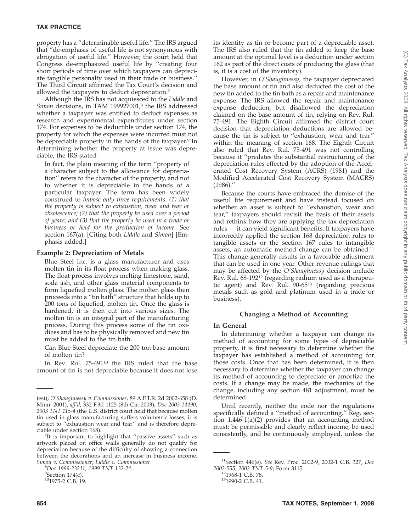property has a ''determinable useful life.'' The IRS argued that ''de-emphasis of useful life is not synonymous with abrogation of useful life.'' However, the court held that Congress de-emphasized useful life by ''creating four short periods of time over which taxpayers can depreciate tangible personalty used in their trade or business.'' The Third Circuit affirmed the Tax Court's decision and allowed the taxpayers to deduct depreciation.7

Although the IRS has not acquiesced to the *Liddle* and *Simon* decisions, in TAM 199927001,8 the IRS addressed whether a taxpayer was entitled to deduct expenses as research and experimental expenditures under section 174. For expenses to be deductible under section 174, the property for which the expenses were incurred must not be depreciable property in the hands of the taxpayer.<sup>9</sup> In determining whether the property at issue was depreciable, the IRS stated:

In fact, the plain meaning of the term ''property of a character subject to the allowance for depreciation'' refers to the character of the property, and not to whether it is depreciable in the hands of a particular taxpayer. The term has been widely construed to *impose only three requirements: (1) that the property is subject to exhaustion, wear and tear or obsolescence; (2) that the property be used over a period of years; and (3) that the property be used in a trade or business or held for the production of income.* See section 167(a). [Citing both *Liddle* and *Simon*] [Emphasis added.]

## **Example 2: Depreciation of Metals**

Blue Steel Inc. is a glass manufacturer and uses molten tin in its float process when making glass. The float process involves melting limestone, sand, soda ash, and other glass material components to form liquefied molten glass. The molten glass then proceeds into a ''tin bath'' structure that holds up to 200 tons of liquefied, molten tin. Once the glass is hardened, it is then cut into various sizes. The molten tin is an integral part of the manufacturing process. During this process some of the tin oxidizes and has to be physically removed and new tin must be added to the tin bath.

Can Blue Steel depreciate the 200-ton base amount of molten tin?

In Rev. Rul. 75-491<sup>10</sup> the IRS ruled that the base amount of tin is not depreciable because it does not lose its identity as tin or become part of a depreciable asset. The IRS also ruled that the tin added to keep the base amount at the optimal level is a deduction under section 162 as part of the direct costs of producing the glass (that is, it is a cost of the inventory).

However, in *O'Shaughnessy*, the taxpayer depreciated the base amount of tin and also deducted the cost of the new tin added to the tin bath as a repair and maintenance expense. The IRS allowed the repair and maintenance expense deduction, but disallowed the depreciation claimed on the base amount of tin, relying on Rev. Rul. 75-491. The Eighth Circuit affirmed the district court decision that depreciation deductions are allowed because the tin is subject to ''exhaustion, wear and tear'' within the meaning of section 168. The Eighth Circuit also ruled that Rev. Rul. 75-491 was not controlling because it ''predates the substantial restructuring of the depreciation rules effected by the adoption of the Accelerated Cost Recovery System (ACRS) (1981) and the Modified Accelerated Cost Recovery System (MACRS) (1986).''

Because the courts have embraced the demise of the useful life requirement and have instead focused on whether an asset is subject to ''exhaustion, wear and tear,'' taxpayers should revisit the basis of their assets and rethink how they are applying the tax depreciation rules — it can yield significant benefits. If taxpayers have incorrectly applied the section 168 depreciation rules to tangible assets or the section 167 rules to intangible assets, an automatic method change can be obtained.11 This change generally results in a favorable adjustment that can be used in one year. Other revenue rulings that may be affected by the *O'Shaughnessy* decision include Rev. Rul. 68-19212 (regarding radium used as a therapeutic agent) and Rev. Rul. 90-6513 (regarding precious metals such as gold and platinum used in a trade or business).

#### **Changing a Method of Accounting**

#### **In General**

In determining whether a taxpayer can change its method of accounting for some types of depreciable property, it is first necessary to determine whether the taxpayer has established a method of accounting for those costs. Once that has been determined, it is then necessary to determine whether the taxpayer can change its method of accounting to depreciate or amortize the costs. If a change may be made, the mechanics of the change, including any section 481 adjustment, must be determined.

Until recently, neither the code nor the regulations specifically defined a ''method of accounting.'' Reg. section 1.446-1(a)(2) provides that an accounting method must: be permissible and clearly reflect income, be used consistently, and be continuously employed, unless the

test); *O'Shaughnessy v. Commissioner*, 89 A.F.T.R. 2d 2002-658 (D. Minn. 2001), *aff'd*, 332 F.3d 1125 (8th Cir. 2003), *Doc 2003-14490, 2003 TNT 115-4* (the U.S. district court held that because molten tin used in glass manufacturing suffers volumetric losses, it is subject to ''exhaustion wear and tear'' and is therefore depreciable under section 168). <sup>7</sup>

 $Z$ It is important to highlight that "passive assets" such as artwork placed on office walls generally do not qualify for depreciation because of the difficulty of showing a connection between the decorations and an increase in business income. *Simon v. Commissioner*; *Liddle v. Commissioner*. <sup>8</sup>

*Doc 1999-23211*, *1999 TNT 132-24*. <sup>9</sup>

 $9$ Section 174(c).

<sup>101975-2</sup> C.B. 19.

<sup>11</sup>Section 446(e). *See* Rev. Proc. 2002-9, 2002-1 C.B. 327, *Doc 2002-555, 2002 TNT 5-9*; Form 3115. 121968-1 C.B. 78. 131990-2 C.B. 41.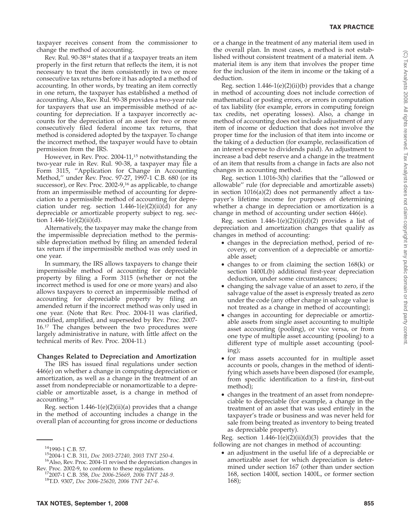taxpayer receives consent from the commissioner to change the method of accounting.

Rev. Rul. 90-3814 states that if a taxpayer treats an item properly in the first return that reflects the item, it is not necessary to treat the item consistently in two or more consecutive tax returns before it has adopted a method of accounting. In other words, by treating an item correctly in one return, the taxpayer has established a method of accounting. Also, Rev. Rul. 90-38 provides a two-year rule for taxpayers that use an impermissible method of accounting for depreciation. If a taxpayer incorrectly accounts for the depreciation of an asset for two or more consecutively filed federal income tax returns, that method is considered adopted by the taxpayer. To change the incorrect method, the taxpayer would have to obtain permission from the IRS.

However, in Rev. Proc. 2004-11,<sup>15</sup> notwithstanding the two-year rule in Rev. Rul. 90-38, a taxpayer may file a Form 3115, ''Application for Change in Accounting Method,'' under Rev. Proc. 97-27, 1997-1 C.B. 680 (or its successor), or Rev. Proc. 2002-9,<sup>16</sup> as applicable, to change from an impermissible method of accounting for depreciation to a permissible method of accounting for depreciation under reg. section  $1.446-1(e)(2)(ii)(d)$  for any depreciable or amortizable property subject to reg. section  $1.446 - 1(e)(2)(ii)(d)$ .

Alternatively, the taxpayer may make the change from the impermissible depreciation method to the permissible depreciation method by filing an amended federal tax return if the impermissible method was only used in one year.

In summary, the IRS allows taxpayers to change their impermissible method of accounting for depreciable property by filing a Form 3115 (whether or not the incorrect method is used for one or more years) and also allows taxpayers to correct an impermissible method of accounting for depreciable property by filing an amended return if the incorrect method was only used in one year. (Note that Rev. Proc. 2004-11 was clarified, modified, amplified, and superseded by Rev. Proc. 2007- 16.<sup>17</sup> The changes between the two procedures were largely administrative in nature, with little affect on the technical merits of Rev. Proc. 2004-11.)

# **Changes Related to Depreciation and Amortization**

The IRS has issued final regulations under section 446(e) on whether a change in computing depreciation or amortization, as well as a change in the treatment of an asset from nondepreciable or nonamortizable to a depreciable or amortizable asset, is a change in method of accounting.18

Reg. section  $1.446-1(e)(2)(ii)(a)$  provides that a change in the method of accounting includes a change in the overall plan of accounting for gross income or deductions

<sup>14</sup>1990-1 C.B. 57.<br><sup>15</sup>2004-1 C.B. 311, *Doc 2003-27240, 2003 TNT 250-4*.<br><sup>16</sup>Also, Rev. Proc. 2004-11 revised the depreciation changes in

Reg. section  $1.446-1(e)(2)(ii)(b)$  provides that a change in method of accounting does not include correction of mathematical or posting errors, or errors in computation of tax liability (for example, errors in computing foreign tax credits, net operating losses). Also, a change in method of accounting does not include adjustment of any item of income or deduction that does not involve the proper time for the inclusion of that item into income or the taking of a deduction (for example, reclassification of an interest expense to dividends paid). An adjustment to increase a bad debt reserve and a change in the treatment of an item that results from a change in facts are also not changes in accounting method.

Reg. section 1.1016-3(h) clarifies that the ''allowed or allowable'' rule (for depreciable and amortizable assets) in section 1016(a)(2) does not permanently affect a taxpayer's lifetime income for purposes of determining whether a change in depreciation or amortization is a change in method of accounting under section 446(e).

Reg. section  $1.446-1(e)(2)(ii)(d)(2)$  provides a list of depreciation and amortization changes that qualify as changes in method of accounting:

- changes in the depreciation method, period of recovery, or convention of a depreciable or amortizable asset;
- changes to or from claiming the section 168(k) or section 1400L(b) additional first-year depreciation deduction, under some circumstances;
- changing the salvage value of an asset to zero, if the salvage value of the asset is expressly treated as zero under the code (any other change in salvage value is not treated as a change in method of accounting);
- changes in accounting for depreciable or amortizable assets from single asset accounting to multiple asset accounting (pooling), or vice versa, or from one type of multiple asset accounting (pooling) to a different type of multiple asset accounting (pooling);
- for mass assets accounted for in multiple asset accounts or pools, changes in the method of identifying which assets have been disposed (for example, from specific identification to a first-in, first-out method);
- changes in the treatment of an asset from nondepreciable to depreciable (for example, a change in the treatment of an asset that was used entirely in the taxpayer's trade or business and was never held for sale from being treated as inventory to being treated as depreciable property).

Reg. section  $1.446-1(e)(2)(ii)(d)(3)$  provides that the following are not changes in method of accounting:

• an adjustment in the useful life of a depreciable or amortizable asset for which depreciation is determined under section 167 (other than under section 168, section 1400I, section 1400L, or former section 168);

Rev. Proc. 2002-9, to conform to these regulations. 172007-1 C.B. 358, *Doc 2006-25669, 2006 TNT 248-9*. 18T.D. 9307, *Doc 2006-25620*, *2006 TNT 247-6*.